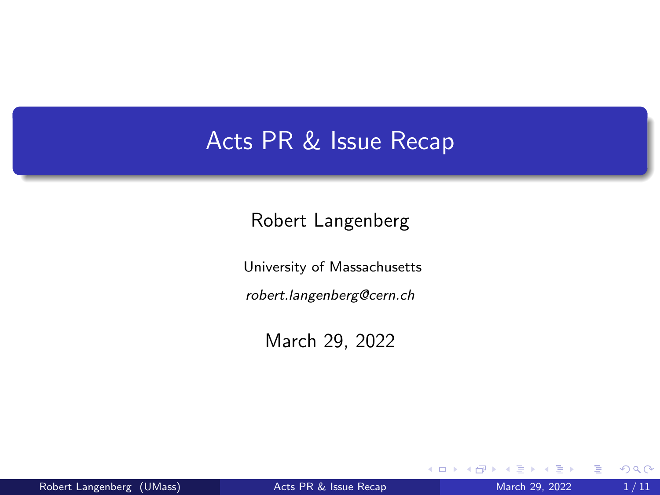#### <span id="page-0-0"></span>Acts PR & Issue Recap

Robert Langenberg

University of Massachusetts

robert.langenberg@cern.ch

March 29, 2022

4 D F

∍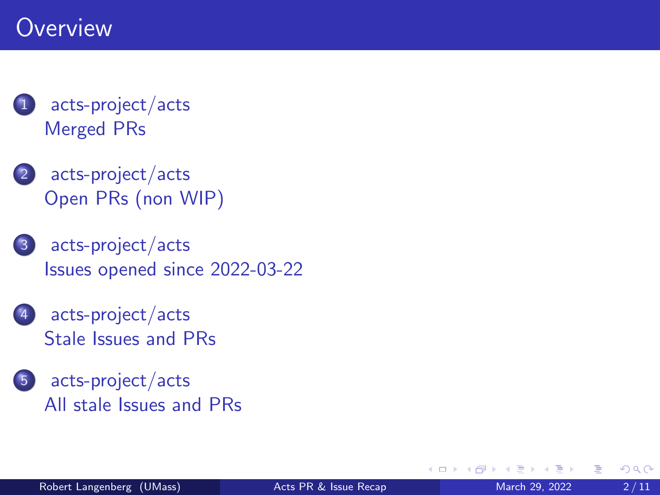### **Overview**

#### [acts-project/acts](#page-2-0) [Merged PRs](#page-2-0)

- 2 [acts-project/acts](#page-4-0) [Open PRs \(non WIP\)](#page-4-0)
- 3 [acts-project/acts](#page-6-0) [Issues opened since 2022-03-22](#page-6-0)
- [acts-project/acts](#page-7-0) [Stale Issues and PRs](#page-7-0)
- 5 [acts-project/acts](#page-8-0) [All stale Issues and PRs](#page-8-0)

€⊡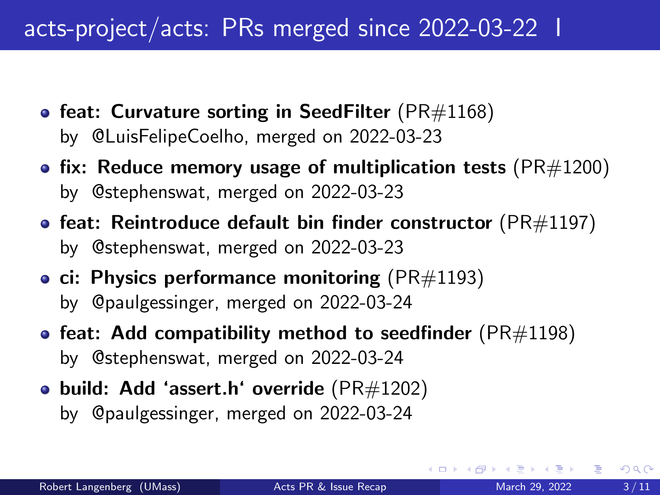## <span id="page-2-0"></span>acts-project/acts: PRs merged since 2022-03-22 I

- [feat: Curvature sorting in SeedFilter](https://github.com/acts-project/acts/pull/1168) ( $PR#1168$ ) by [@LuisFelipeCoelho,](https://github.com/LuisFelipeCoelho) merged on 2022-03-23
- [fix: Reduce memory usage of multiplication tests](https://github.com/acts-project/acts/pull/1200) ( $PR#1200$ ) by [@stephenswat,](https://github.com/stephenswat) merged on 2022-03-23
- [feat: Reintroduce default bin finder constructor](https://github.com/acts-project/acts/pull/1197) ( $PR#1197$ ) by [@stephenswat,](https://github.com/stephenswat) merged on 2022-03-23
- [ci: Physics performance monitoring](https://github.com/acts-project/acts/pull/1193) ( $PR#1193$ ) by [@paulgessinger,](https://github.com/paulgessinger) merged on 2022-03-24
- [feat: Add compatibility method to seedfinder](https://github.com/acts-project/acts/pull/1198) ( $PR#1198$ ) by [@stephenswat,](https://github.com/stephenswat) merged on 2022-03-24
- [build: Add 'assert.h' override](https://github.com/acts-project/acts/pull/1202)  $(PR#1202)$ by [@paulgessinger,](https://github.com/paulgessinger) merged on 2022-03-24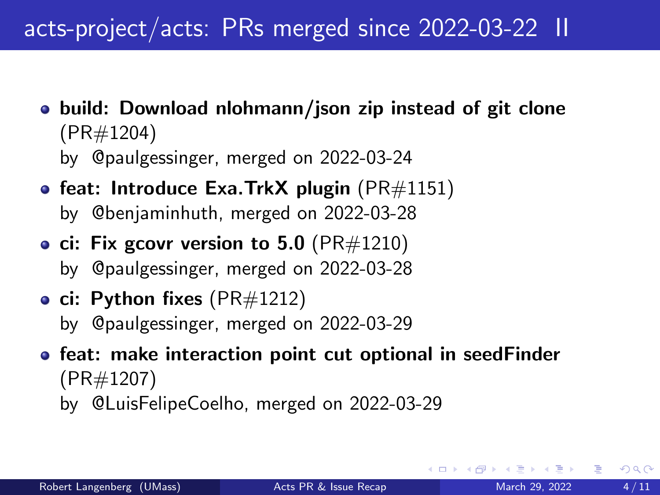## acts-project/acts: PRs merged since 2022-03-22 II

- [build: Download nlohmann/json zip instead of git clone](https://github.com/acts-project/acts/pull/1204) [\(PR#1204\)](https://github.com/acts-project/acts/pull/1204) by [@paulgessinger,](https://github.com/paulgessinger) merged on 2022-03-24
- [feat: Introduce Exa.TrkX plugin](https://github.com/acts-project/acts/pull/1151) ( $PR#1151$ ) by [@benjaminhuth,](https://github.com/benjaminhuth) merged on 2022-03-28
- [ci: Fix gcovr version to 5.0](https://github.com/acts-project/acts/pull/1210) ( $PR#1210$ ) by [@paulgessinger,](https://github.com/paulgessinger) merged on 2022-03-28
- [ci: Python fixes](https://github.com/acts-project/acts/pull/1212)  $(PR#1212)$ by [@paulgessinger,](https://github.com/paulgessinger) merged on 2022-03-29
- **•** [feat: make interaction point cut optional in seedFinder](https://github.com/acts-project/acts/pull/1207) [\(PR#1207\)](https://github.com/acts-project/acts/pull/1207) by [@LuisFelipeCoelho,](https://github.com/LuisFelipeCoelho) merged on 2022-03-29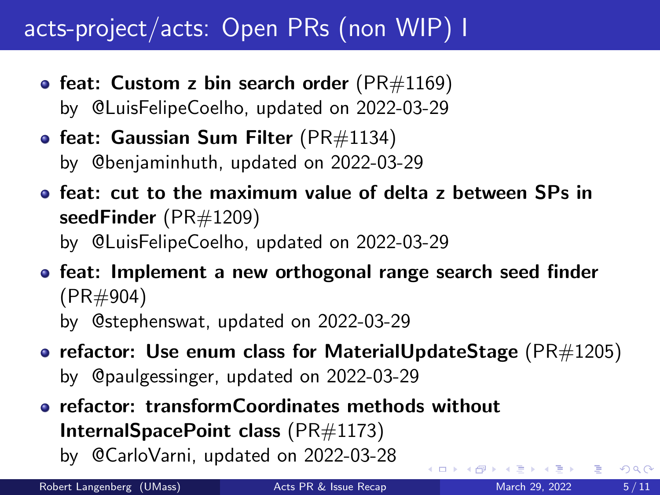# <span id="page-4-0"></span>acts-project/acts: Open PRs (non WIP) I

- [feat: Custom z bin search order](https://github.com/acts-project/acts/pull/1169) ( $PR#1169$ ) by [@LuisFelipeCoelho,](https://github.com/LuisFelipeCoelho) updated on 2022-03-29
- [feat: Gaussian Sum Filter](https://github.com/acts-project/acts/pull/1134) ( $PR#1134$ ) by [@benjaminhuth,](https://github.com/benjaminhuth) updated on 2022-03-29
- [feat: cut to the maximum value of delta z between SPs in](https://github.com/acts-project/acts/pull/1209) [seedFinder](https://github.com/acts-project/acts/pull/1209) [\(PR#1209\)](https://github.com/acts-project/acts/pull/1209) by [@LuisFelipeCoelho,](https://github.com/LuisFelipeCoelho) updated on 2022-03-29
- **•** [feat: Implement a new orthogonal range search seed finder](https://github.com/acts-project/acts/pull/904) [\(PR#904\)](https://github.com/acts-project/acts/pull/904) by [@stephenswat,](https://github.com/stephenswat) updated on 2022-03-29
- [refactor: Use enum class for MaterialUpdateStage](https://github.com/acts-project/acts/pull/1205) ( $PR#1205$ ) by [@paulgessinger,](https://github.com/paulgessinger) updated on 2022-03-29

[refactor: transformCoordinates methods without](https://github.com/acts-project/acts/pull/1173) [InternalSpacePoint class](https://github.com/acts-project/acts/pull/1173) [\(PR#1173\)](https://github.com/acts-project/acts/pull/1173) by [@CarloVarni,](https://github.com/CarloVarni) updated on 2022-03-28 ( □ ) ( <sub>○</sub> )

Robert Langenberg (UMass) [Acts PR & Issue Recap](#page-0-0) March 29, 2022 5/11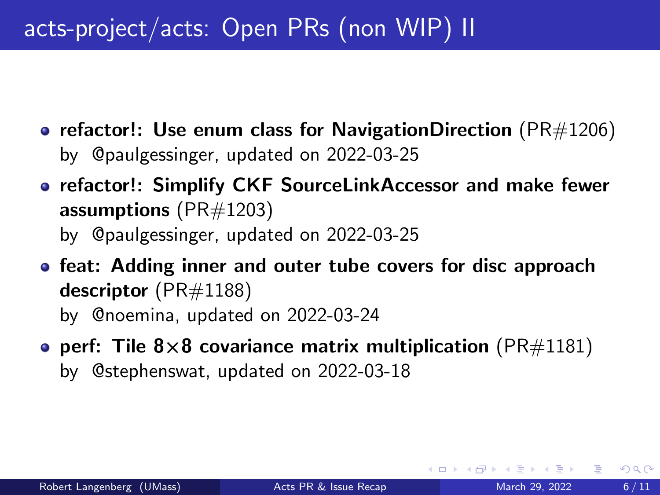# acts-project/acts: Open PRs (non WIP) II

- [refactor!: Use enum class for NavigationDirection](https://github.com/acts-project/acts/pull/1206) ( $PR#1206$ ) by [@paulgessinger,](https://github.com/paulgessinger) updated on 2022-03-25
- [refactor!: Simplify CKF SourceLinkAccessor and make fewer](https://github.com/acts-project/acts/pull/1203) [assumptions](https://github.com/acts-project/acts/pull/1203) [\(PR#1203\)](https://github.com/acts-project/acts/pull/1203) by [@paulgessinger,](https://github.com/paulgessinger) updated on 2022-03-25
- **•** [feat: Adding inner and outer tube covers for disc approach](https://github.com/acts-project/acts/pull/1188) [descriptor](https://github.com/acts-project/acts/pull/1188) [\(PR#1188\)](https://github.com/acts-project/acts/pull/1188) by [@noemina,](https://github.com/noemina) updated on 2022-03-24
- perf: Tile 8×[8 covariance matrix multiplication](https://github.com/acts-project/acts/pull/1181) [\(PR#1181\)](https://github.com/acts-project/acts/pull/1181) by [@stephenswat,](https://github.com/stephenswat) updated on 2022-03-18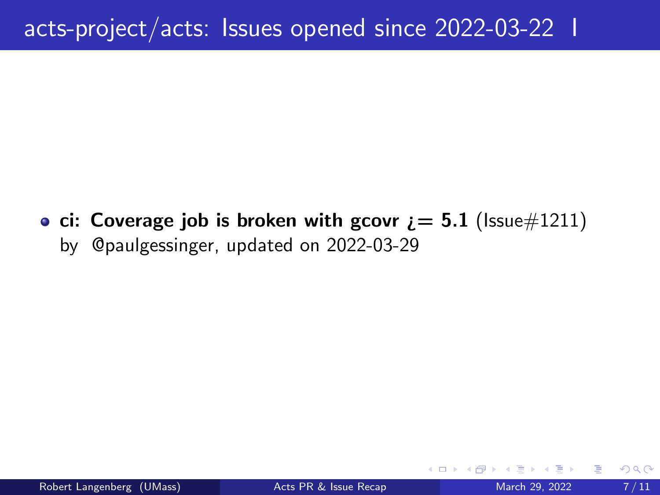<span id="page-6-0"></span>• ci: Coverage job is broken with gcovr  $i = 5.1$  [\(Issue#1211\)](https://github.com/acts-project/acts/issues/1211) by [@paulgessinger,](https://github.com/paulgessinger) updated on 2022-03-29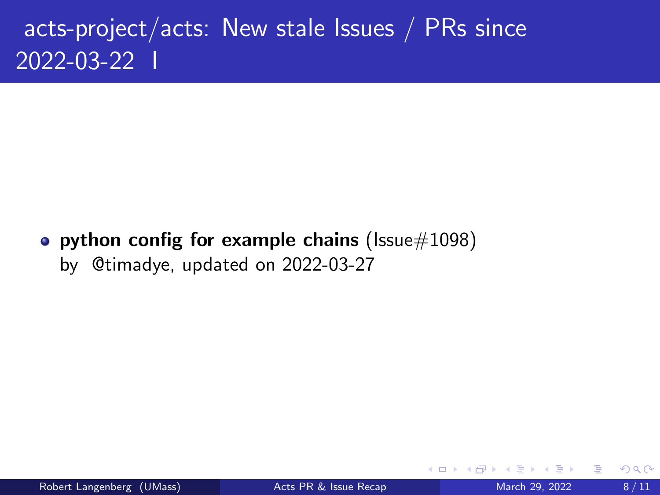# <span id="page-7-0"></span>acts-project/acts: New stale Issues / PRs since 2022-03-22 I

• [python config for example chains](https://github.com/acts-project/acts/issues/1098) ( $\text{lssue}\#1098$ ) by [@timadye,](https://github.com/timadye) updated on 2022-03-27

4 **D F**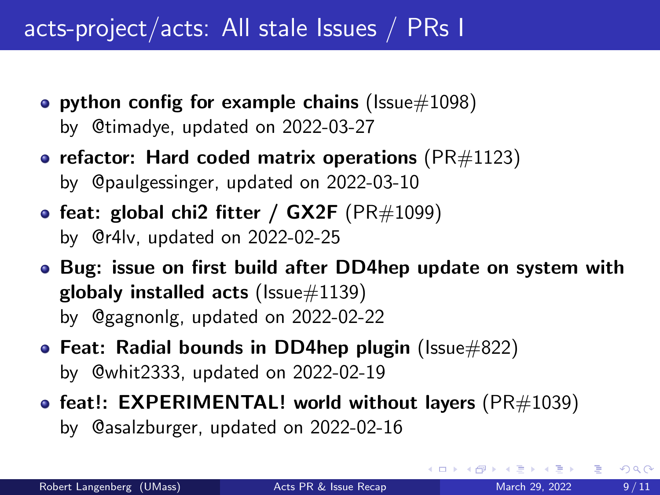## <span id="page-8-0"></span>acts-project/acts: All stale Issues / PRs I

- [python config for example chains](https://github.com/acts-project/acts/issues/1098) ( $\text{lssue} \# 1098$ ) by [@timadye,](https://github.com/timadye) updated on 2022-03-27
- [refactor: Hard coded matrix operations](https://github.com/acts-project/acts/pull/1123) ( $PR#1123$ ) by [@paulgessinger,](https://github.com/paulgessinger) updated on 2022-03-10
- feat: global chi2 fitter /  $GX2F$  ( $PR#1099$ ) by [@r4lv,](https://github.com/r4lv) updated on 2022-02-25
- [Bug: issue on first build after DD4hep update on system with](https://github.com/acts-project/acts/issues/1139) [globaly installed acts](https://github.com/acts-project/acts/issues/1139) ( $\text{issue} \#1139$ ) by [@gagnonlg,](https://github.com/gagnonlg) updated on 2022-02-22
- [Feat: Radial bounds in DD4hep plugin](https://github.com/acts-project/acts/issues/822) (Issue $\#822$ ) by [@whit2333,](https://github.com/whit2333) updated on 2022-02-19
- [feat!: EXPERIMENTAL! world without layers](https://github.com/acts-project/acts/pull/1039) ( $PR#1039$ ) by [@asalzburger,](https://github.com/asalzburger) updated on 2022-02-16

イロト イ押 トイヨ トイヨ トー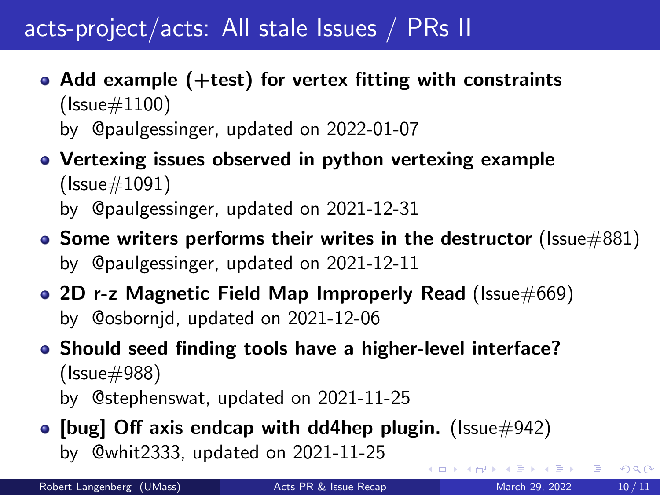## acts-project/acts: All stale Issues / PRs II

- [Add example \(+test\) for vertex fitting with constraints](https://github.com/acts-project/acts/issues/1100) [\(Issue#1100\)](https://github.com/acts-project/acts/issues/1100) by [@paulgessinger,](https://github.com/paulgessinger) updated on 2022-01-07
- [Vertexing issues observed in python vertexing example](https://github.com/acts-project/acts/issues/1091) [\(Issue#1091\)](https://github.com/acts-project/acts/issues/1091)

by [@paulgessinger,](https://github.com/paulgessinger) updated on 2021-12-31

- [Some writers performs their writes in the destructor](https://github.com/acts-project/acts/issues/881) (Issue  $\#881$ ) by [@paulgessinger,](https://github.com/paulgessinger) updated on 2021-12-11
- [2D r-z Magnetic Field Map Improperly Read](https://github.com/acts-project/acts/issues/669) [\(Issue#669\)](https://github.com/acts-project/acts/issues/669) by [@osbornjd,](https://github.com/osbornjd) updated on 2021-12-06
- [Should seed finding tools have a higher-level interface?](https://github.com/acts-project/acts/issues/988) [\(Issue#988\)](https://github.com/acts-project/acts/issues/988) by [@stephenswat,](https://github.com/stephenswat) updated on 2021-11-25
- [\[bug\] Off axis endcap with dd4hep plugin.](https://github.com/acts-project/acts/issues/942) (Issue $\#942$ ) by [@whit2333,](https://github.com/whit2333) updated on 2021-11-25